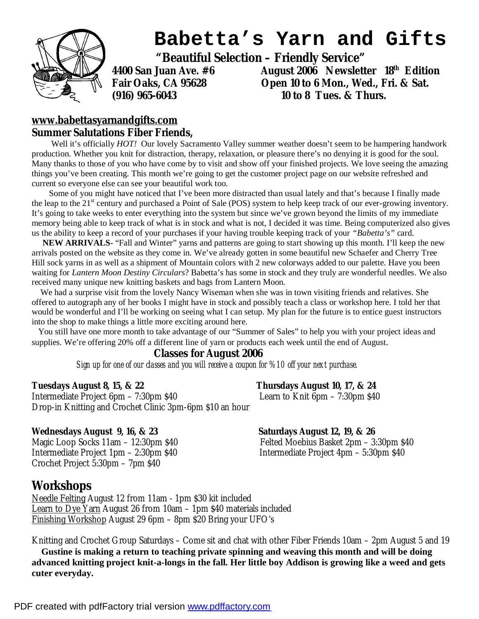

# **Babetta's Yarn and Gifts**

 **"Beautiful Selection – Friendly Service"** 

**4400 San Juan Ave. #6 August 2006 Newsletter 18th Edition Fair Oaks, CA 95628 Open 10 to 6 Mon., Wed., Fri. & Sat. (916) 965-6043 10 to 8 Tues. & Thurs.** 

### **[www.babettasyarnandgifts.com](http://www.babettasyarnandgifts.com) Summer Salutations Fiber Friends,**

Well it's officially *HOT!* Our lovely Sacramento Valley summer weather doesn't seem to be hampering handwork production. Whether you knit for distraction, therapy, relaxation, or pleasure there's no denying it is good for the soul. Many thanks to those of you who have come by to visit and show off your finished projects. We love seeing the amazing things you've been creating. This month we're going to get the customer project page on our website refreshed and current so everyone else can see your beautiful work too.

Some of you might have noticed that I've been more distracted than usual lately and that's because I finally made the leap to the 21<sup>st</sup> century and purchased a Point of Sale (POS) system to help keep track of our ever-growing inventory. It's going to take weeks to enter everything into the system but since we've grown beyond the limits of my immediate memory being able to keep track of what is in stock and what is not, I decided it was time. Being computerized also gives us the ability to keep a record of your purchases if your having trouble keeping track of your *"Babetta's"* card.

 **NEW ARRIVALS**- "Fall and Winter" yarns and patterns are going to start showing up this month. I'll keep the new arrivals posted on the website as they come in. We've already gotten in some beautiful new Schaefer and Cherry Tree Hill sock yarns in as well as a shipment of Mountain colors with 2 new colorways added to our palette. Have you been waiting for *Lantern Moon Destiny Circulars*? Babetta's has some in stock and they truly are wonderful needles. We also received many unique new knitting baskets and bags from Lantern Moon.

 We had a surprise visit from the lovely Nancy Wiseman when she was in town visiting friends and relatives. She offered to autograph any of her books I might have in stock and possibly teach a class or workshop here. I told her that would be wonderful and I'll be working on seeing what I can setup. My plan for the future is to entice guest instructors into the shop to make things a little more exciting around here.

You still have one more month to take advantage of our "Summer of Sales" to help you with your project ideas and supplies. We're offering 20% off a different line of yarn or products each week until the end of August.

## **Classes for August 2006**

*Sign up for one of our classes and you will receive a coupon for %10 off your next purchase.* 

**Tuesdays August 8, 15, & 22 Thursdays August 10, 17, & 24** 

Intermediate Project 6pm – 7:30pm \$40 Learn to Knit 6pm – 7:30pm \$40 Drop-in Knitting and Crochet Clinic 3pm-6pm \$10 an hour

#### **Wednesdays August 9, 16, & 23 Saturdays August 12, 19, & 26**

Intermediate Project 1pm – 2:30pm \$40 Intermediate Project 4pm – 5:30pm \$40 Crochet Project 5:30pm – 7pm \$40

Magic Loop Socks 11am – 12:30pm \$40 Felted Moebius Basket 2pm – 3:30pm \$40

# **Workshops**

Needle Felting August 12 from 11am - 1pm \$30 kit included Learn to Dye Yarn August 26 from 10am – 1pm \$40 materials included Finishing Workshop August 29 6pm – 8pm \$20 Bring your UFO's

Knitting and Crochet Group Saturdays – Come sit and chat with other Fiber Friends 10am – 2pm August 5 and 19 **Gustine is making a return to teaching private spinning and weaving this month and will be doing**  advanced knitting project knit-a-longs in the fall. Her little boy Addison is growing like a weed and gets **cuter everyday.**